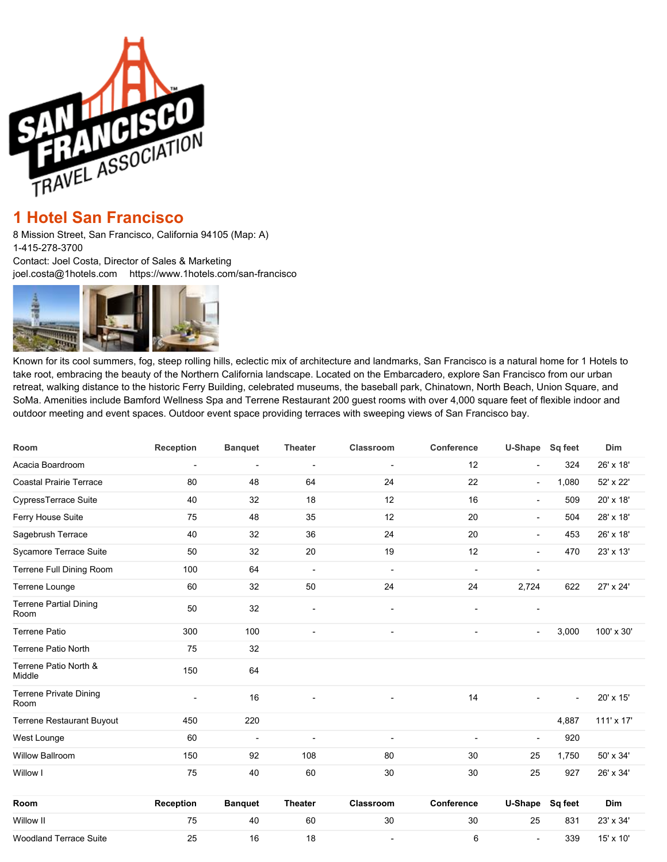

## **[1 Hotel San Francisco](Javascript:showcap()**

8 Mission Street, San Francisco, California 94105 (Map: A) 1-415-278-3700 Contact: Joel Costa, Director of Sales & Marketing [joel.costa@1hotels.com](mailto:joel.costa@1hotels.com) <https://www.1hotels.com/san-francisco>



Known for its cool summers, fog, steep rolling hills, eclectic mix of architecture and landmarks, San Francisco is a natural home for 1 Hotels to take root, embracing the beauty of the Northern California landscape. Located on the Embarcadero, explore San Francisco from our urban retreat, walking distance to the historic Ferry Building, celebrated museums, the baseball park, Chinatown, North Beach, Union Square, and SoMa. Amenities include Bamford Wellness Spa and Terrene Restaurant 200 guest rooms with over 4,000 square feet of flexible indoor and outdoor meeting and event spaces. Outdoor event space providing terraces with sweeping views of San Francisco bay.

| Room                                  | <b>Reception</b> | <b>Banquet</b> | <b>Theater</b>               | Classroom                | Conference               | U-Shape Sq feet          |         | Dim        |
|---------------------------------------|------------------|----------------|------------------------------|--------------------------|--------------------------|--------------------------|---------|------------|
| Acacia Boardroom                      | ٠                | $\overline{a}$ | $\qquad \qquad \blacksquare$ | $\overline{a}$           | 12                       | $\blacksquare$           | 324     | 26' x 18'  |
| <b>Coastal Prairie Terrace</b>        | 80               | 48             | 64                           | 24                       | 22                       | $\overline{\phantom{a}}$ | 1,080   | 52' x 22'  |
| CypressTerrace Suite                  | 40               | 32             | 18                           | 12                       | 16                       | $\overline{\phantom{a}}$ | 509     | 20' x 18'  |
| Ferry House Suite                     | 75               | 48             | 35                           | 12                       | 20                       | $\overline{\phantom{a}}$ | 504     | 28' x 18'  |
| Sagebrush Terrace                     | 40               | 32             | 36                           | 24                       | 20                       | $\overline{\phantom{a}}$ | 453     | 26' x 18'  |
| Sycamore Terrace Suite                | 50               | 32             | 20                           | 19                       | 12                       | $\blacksquare$           | 470     | 23' x 13'  |
| Terrene Full Dining Room              | 100              | 64             | $\overline{\phantom{a}}$     | $\overline{\phantom{a}}$ | ÷                        | $\overline{a}$           |         |            |
| Terrene Lounge                        | 60               | 32             | 50                           | 24                       | 24                       | 2,724                    | 622     | 27' x 24'  |
| <b>Terrene Partial Dining</b><br>Room | 50               | 32             | $\blacksquare$               |                          | $\overline{a}$           | $\blacksquare$           |         |            |
| <b>Terrene Patio</b>                  | 300              | 100            | $\overline{a}$               | $\overline{\phantom{a}}$ | $\overline{\phantom{a}}$ | $\overline{\phantom{a}}$ | 3,000   | 100' x 30' |
| <b>Terrene Patio North</b>            | 75               | 32             |                              |                          |                          |                          |         |            |
| Terrene Patio North &<br>Middle       | 150              | 64             |                              |                          |                          |                          |         |            |
| <b>Terrene Private Dining</b><br>Room | $\blacksquare$   | 16             |                              |                          | 14                       |                          |         | 20' x 15'  |
| Terrene Restaurant Buyout             | 450              | 220            |                              |                          |                          |                          | 4,887   | 111' x 17' |
| West Lounge                           | 60               | $\overline{a}$ | $\blacksquare$               | $\blacksquare$           | $\blacksquare$           | $\blacksquare$           | 920     |            |
| Willow Ballroom                       | 150              | 92             | 108                          | 80                       | 30                       | 25                       | 1,750   | 50' x 34'  |
| Willow I                              | 75               | 40             | 60                           | 30                       | 30                       | 25                       | 927     | 26' x 34'  |
| Room                                  | Reception        | <b>Banquet</b> | <b>Theater</b>               | <b>Classroom</b>         | Conference               | U-Shape                  | Sq feet | Dim        |
| Willow II                             | 75               | 40             | 60                           | 30                       | 30                       | 25                       | 831     | 23' x 34'  |
| <b>Woodland Terrace Suite</b>         | 25               | 16             | 18                           | $\overline{a}$           | 6                        | $\blacksquare$           | 339     | 15' x 10'  |